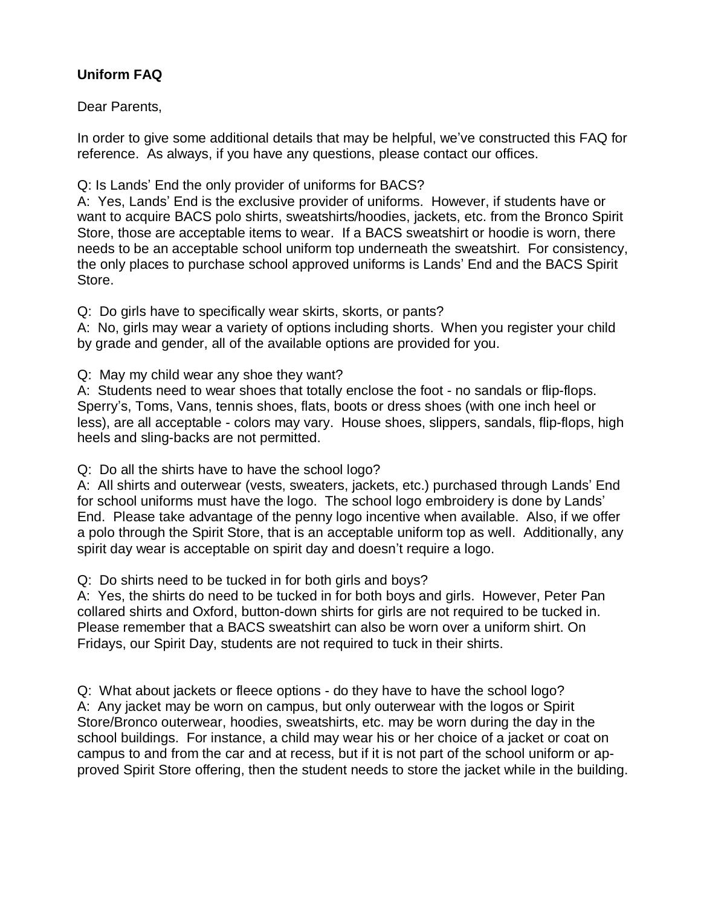# **Uniform FAQ**

Dear Parents,

In order to give some additional details that may be helpful, we've constructed this FAQ for reference. As always, if you have any questions, please contact our offices.

Q: Is Lands' End the only provider of uniforms for BACS?

A: Yes, Lands' End is the exclusive provider of uniforms. However, if students have or want to acquire BACS polo shirts, sweatshirts/hoodies, jackets, etc. from the Bronco Spirit Store, those are acceptable items to wear. If a BACS sweatshirt or hoodie is worn, there needs to be an acceptable school uniform top underneath the sweatshirt. For consistency, the only places to purchase school approved uniforms is Lands' End and the BACS Spirit Store.

Q: Do girls have to specifically wear skirts, skorts, or pants?

A: No, girls may wear a variety of options including shorts. When you register your child by grade and gender, all of the available options are provided for you.

Q: May my child wear any shoe they want?

A: Students need to wear shoes that totally enclose the foot - no sandals or flip-flops. Sperry's, Toms, Vans, tennis shoes, flats, boots or dress shoes (with one inch heel or less), are all acceptable - colors may vary. House shoes, slippers, sandals, flip-flops, high heels and sling-backs are not permitted.

Q: Do all the shirts have to have the school logo?

A: All shirts and outerwear (vests, sweaters, jackets, etc.) purchased through Lands' End for school uniforms must have the logo. The school logo embroidery is done by Lands' End. Please take advantage of the penny logo incentive when available. Also, if we offer a polo through the Spirit Store, that is an acceptable uniform top as well. Additionally, any spirit day wear is acceptable on spirit day and doesn't require a logo.

Q: Do shirts need to be tucked in for both girls and boys?

A: Yes, the shirts do need to be tucked in for both boys and girls. However, Peter Pan collared shirts and Oxford, button-down shirts for girls are not required to be tucked in. Please remember that a BACS sweatshirt can also be worn over a uniform shirt. On Fridays, our Spirit Day, students are not required to tuck in their shirts.

Q: What about jackets or fleece options - do they have to have the school logo? A: Any jacket may be worn on campus, but only outerwear with the logos or Spirit Store/Bronco outerwear, hoodies, sweatshirts, etc. may be worn during the day in the school buildings. For instance, a child may wear his or her choice of a jacket or coat on campus to and from the car and at recess, but if it is not part of the school uniform or approved Spirit Store offering, then the student needs to store the jacket while in the building.